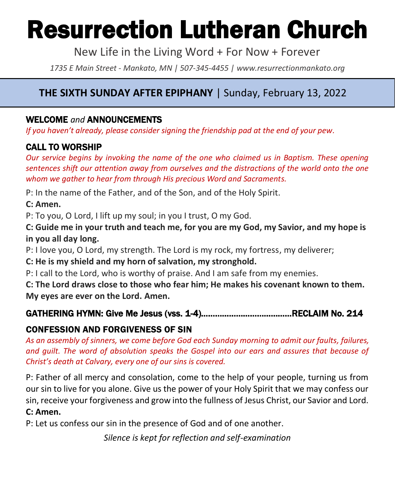# Resurrection Lutheran Church

New Life in the Living Word + For Now + Forever

*1735 E Main Street - Mankato, MN | 507-345-4455 | [www.resurrectionmankato.org](http://www.resurrectionmankato.org/)*

#### **THE SIXTH SUNDAY AFTER EPIPHANY** | Sunday, February 13, 2022

*\_\_\_\_\_\_\_\_\_\_\_\_\_\_\_\_\_\_\_\_\_\_\_\_\_\_\_\_\_\_\_\_\_\_\_\_\_\_\_\_\_\_\_\_\_\_\_\_\_\_\_\_\_\_\_\_\_\_\_\_\_\_\_\_\_\_\_\_\_\_\_\_\_\_\_\_\_\_\_*

#### WELCOME *and* ANNOUNCEMENTS

*If you haven't already, please consider signing the friendship pad at the end of your pew.* 

#### CALL TO WORSHIP

*Our service begins by invoking the name of the one who claimed us in Baptism. These opening sentences shift our attention away from ourselves and the distractions of the world onto the one whom we gather to hear from through His precious Word and Sacraments.* 

P: In the name of the Father, and of the Son, and of the Holy Spirit.

**C: Amen.** 

P: To you, O Lord, I lift up my soul; in you I trust, O my God.

**C: Guide me in your truth and teach me, for you are my God, my Savior, and my hope is in you all day long.**

P: I love you, O Lord, my strength. The Lord is my rock, my fortress, my deliverer;

**C: He is my shield and my horn of salvation, my stronghold.**

P: I call to the Lord, who is worthy of praise. And I am safe from my enemies.

**C: The Lord draws close to those who fear him; He makes his covenant known to them. My eyes are ever on the Lord. Amen.** 

#### GATHERING HYMN: Give Me Jesus (vss. 1-4)…………………………………RECLAIM No. 214

#### CONFESSION AND FORGIVENESS OF SIN

*As an assembly of sinners, we come before God each Sunday morning to admit our faults, failures, and guilt. The word of absolution speaks the Gospel into our ears and assures that because of Christ's death at Calvary, every one of our sins is covered.* 

P: Father of all mercy and consolation, come to the help of your people, turning us from our sin to live for you alone. Give us the power of your Holy Spirit that we may confess our sin, receive your forgiveness and grow into the fullness of Jesus Christ, our Savior and Lord. **C: Amen.** 

P: Let us confess our sin in the presence of God and of one another.

*Silence is kept for reflection and self-examination*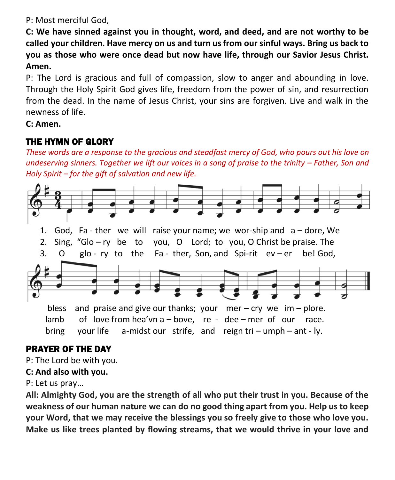P: Most merciful God,

**C: We have sinned against you in thought, word, and deed, and are not worthy to be called your children. Have mercy on us and turn us from our sinful ways. Bring us back to you as those who were once dead but now have life, through our Savior Jesus Christ. Amen.**

P: The Lord is gracious and full of compassion, slow to anger and abounding in love. Through the Holy Spirit God gives life, freedom from the power of sin, and resurrection from the dead. In the name of Jesus Christ, your sins are forgiven. Live and walk in the newness of life.

#### **C: Amen.**

#### THE HYMN OF GLORY

*These words are a response to the gracious and steadfast mercy of God, who pours out his love on undeserving sinners. Together we lift our voices in a song of praise to the trinity – Father, Son and Holy Spirit – for the gift of salvation and new life.* 



#### PRAYER OF THE DAY

P: The Lord be with you.

#### **C: And also with you.**

P: Let us pray…

**All: Almighty God, you are the strength of all who put their trust in you. Because of the weakness of our human nature we can do no good thing apart from you. Help us to keep your Word, that we may receive the blessings you so freely give to those who love you. Make us like trees planted by flowing streams, that we would thrive in your love and**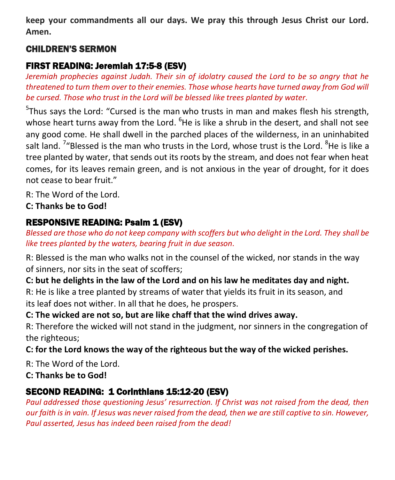**keep your commandments all our days. We pray this through Jesus Christ our Lord. Amen.**

#### CHILDREN'S SERMON

#### FIRST READING: Jeremiah 17:5-8 (ESV)

*Jeremiah prophecies against Judah. Their sin of idolatry caused the Lord to be so angry that he threatened to turn them over to their enemies. Those whose hearts have turned away from God will be cursed. Those who trust in the Lord will be blessed like trees planted by water.* 

<sup>5</sup>Thus says the Lord: "Cursed is the man who trusts in man and makes flesh his strength, whose heart turns away from the Lord. <sup>6</sup>He is like a shrub in the desert, and shall not see any good come. He shall dwell in the parched places of the wilderness, in an uninhabited salt land. <sup>7</sup>"Blessed is the man who trusts in the Lord, whose trust is the Lord. <sup>8</sup>He is like a tree planted by water, that sends out its roots by the stream, and does not fear when heat comes, for its leaves remain green, and is not anxious in the year of drought, for it does not cease to bear fruit."

R: The Word of the Lord.

**C: Thanks be to God!** 

#### RESPONSIVE READING: Psalm 1 (ESV)

*Blessed are those who do not keep company with scoffers but who delight in the Lord. They shall be like trees planted by the waters, bearing fruit in due season.*

R: Blessed is the man who walks not in the counsel of the wicked, nor stands in the way of sinners, nor sits in the seat of scoffers;

**C: but he delights in the law of the Lord and on his law he meditates day and night.**

R: He is like a tree planted by streams of water that yields its fruit in its season, and its leaf does not wither. In all that he does, he prospers.

**C: The wicked are not so, but are like chaff that the wind drives away.**

R: Therefore the wicked will not stand in the judgment, nor sinners in the congregation of the righteous;

**C: for the Lord knows the way of the righteous but the way of the wicked perishes.**

R: The Word of the Lord.

**C: Thanks be to God!** 

#### SECOND READING: 1 Corinthians 15:12-20 (ESV)

*Paul addressed those questioning Jesus' resurrection. If Christ was not raised from the dead, then our faith is in vain. If Jesus was never raised from the dead, then we are still captive to sin. However, Paul asserted, Jesus has indeed been raised from the dead!*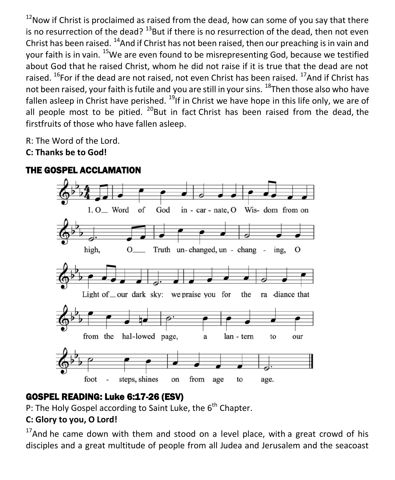$12$ Now if Christ is proclaimed as raised from the dead, how can some of you say that there is no resurrection of the dead?  $^{13}$ But if there is no resurrection of the dead, then not even Christ has been raised.  $^{14}$ And if Christ has not been raised, then our preaching is in vain and your faith is in vain. <sup>15</sup>We are even found to be misrepresenting God, because we testified about God that he raised Christ, whom he did not raise if it is true that the dead are not raised.  $^{16}$ For if the dead are not raised, not even Christ has been raised.  $^{17}$ And if Christ has not been raised, your faith is futile and you are still in your sins. <sup>18</sup>Then those also who have fallen asleep in Christ have perished.  $^{19}$ If in Christ we have hope in this life only, we are of all people most to be pitied.  $^{20}$ But in fact Christ has been raised from the dead, the firstfruits of those who have fallen asleep.

R: The Word of the Lord.

**C: Thanks be to God!** 



#### THE GOSPEL ACCLAMATION

#### GOSPEL READING: Luke 6:17-26 (ESV)

P: The Holy Gospel according to Saint Luke, the 6<sup>th</sup> Chapter.

#### **C: Glory to you, O Lord!**

 $17$ And he came down with them and stood on a level place, with a great crowd of his disciples and a great multitude of people from all Judea and Jerusalem and the seacoast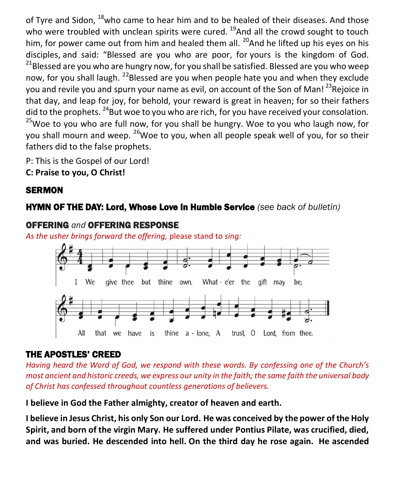of Tyre and Sidon, <sup>18</sup>who came to hear him and to be healed of their diseases. And those who were troubled with unclean spirits were cured.  $^{19}$ And all the crowd sought to touch him, for power came out from him and healed them all.  $^{20}$ And he lifted up his eyes on his disciples, and said: "Blessed are you who are poor, for yours is the kingdom of God.  $21$ Blessed are you who are hungry now, for you shall be satisfied. Blessed are you who weep now, for you shall laugh.  $^{22}$ Blessed are you when people hate you and when they exclude you and revile you and spurn your name as evil, on account of the Son of Man!<sup>23</sup>Rejoice in that day, and leap for joy, for behold, your reward is great in heaven; for so their fathers did to the prophets.  $^{24}$ But woe to you who are rich, for you have received your consolation.  $^{25}$ Woe to you who are full now, for you shall be hungry. Woe to you who laugh now, for you shall mourn and weep. <sup>26</sup>Woe to you, when all people speak well of you, for so their fathers did to the false prophets.

P: This is the Gospel of our Lord! **C: Praise to you, O Christ!** 

#### **SERMON**

#### HYMN OF THE DAY: Lord, Whose Love in Humble Service *(see back of bulletin)*



#### OFFERING *and* OFFERING RESPONSE

*As the usher brings forward the offering,* please stand to *sing:*

#### THE APOSTLES' CREED

*Having heard the Word of God, we respond with these words. By confessing one of the Church's most ancient and historic creeds, we express our unity in the faith; the same faith the universal body of Christ has confessed throughout countless generations of believers.* 

**I believe in God the Father almighty, creator of heaven and earth.**

**I believe in Jesus Christ, his only Son our Lord. He was conceived by the power of the Holy Spirit, and born of the virgin Mary. He suffered under Pontius Pilate, was crucified, died, and was buried. He descended into hell. On the third day he rose again. He ascended**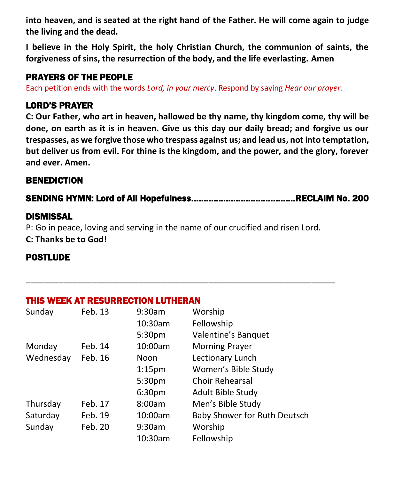**into heaven, and is seated at the right hand of the Father. He will come again to judge the living and the dead.**

**I believe in the Holy Spirit, the holy Christian Church, the communion of saints, the forgiveness of sins, the resurrection of the body, and the life everlasting. Amen**

#### PRAYERS OF THE PEOPLE

Each petition ends with the words *Lord, in your mercy*. Respond by saying *Hear our prayer.*

#### LORD'S PRAYER

**C: Our Father, who art in heaven, hallowed be thy name, thy kingdom come, thy will be done, on earth as it is in heaven. Give us this day our daily bread; and forgive us our trespasses, as we forgive those who trespass against us; and lead us, not into temptation, but deliver us from evil. For thine is the kingdom, and the power, and the glory, forever and ever. Amen.**

#### BENEDICTION

SENDING HYMN: Lord of All Hopefulness……………………………………RECLAIM No. 200

#### DISMISSAL

P: Go in peace, loving and serving in the name of our crucified and risen Lord. **C: Thanks be to God!**

**\_\_\_\_\_\_\_\_\_\_\_\_\_\_\_\_\_\_\_\_\_\_\_\_\_\_\_\_\_\_\_\_\_\_\_\_\_\_\_\_\_\_\_\_\_\_\_\_\_\_\_\_\_\_\_\_\_\_\_\_\_\_\_\_\_\_**

#### POSTLUDE

#### THIS WEEK AT RESURRECTION LUTHERAN

| Sunday    | Feb. 13 | 9:30am             | Worship                      |
|-----------|---------|--------------------|------------------------------|
|           |         | 10:30am            | Fellowship                   |
|           |         | 5:30 <sub>pm</sub> | Valentine's Banquet          |
| Monday    | Feb. 14 | 10:00am            | <b>Morning Prayer</b>        |
| Wednesday | Feb. 16 | Noon               | Lectionary Lunch             |
|           |         | 1:15 <sub>pm</sub> | Women's Bible Study          |
|           |         | 5:30pm             | <b>Choir Rehearsal</b>       |
|           |         | 6:30pm             | Adult Bible Study            |
| Thursday  | Feb. 17 | 8:00am             | Men's Bible Study            |
| Saturday  | Feb. 19 | 10:00am            | Baby Shower for Ruth Deutsch |
| Sunday    | Feb. 20 | 9:30am             | Worship                      |
|           |         | 10:30am            | Fellowship                   |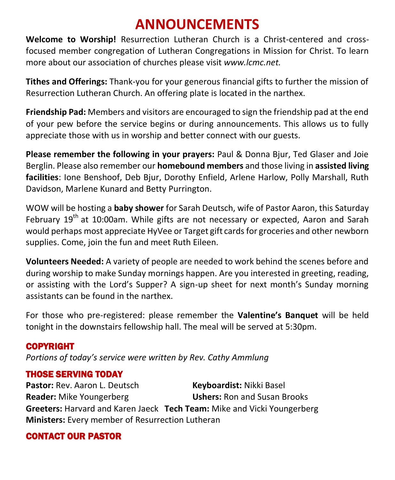### **ANNOUNCEMENTS**

**Welcome to Worship!** Resurrection Lutheran Church is a Christ-centered and crossfocused member congregation of Lutheran Congregations in Mission for Christ. To learn more about our association of churches please visit *[www.lcmc.net.](http://www.lcmc.net/)* 

**Tithes and Offerings:** Thank-you for your generous financial gifts to further the mission of Resurrection Lutheran Church. An offering plate is located in the narthex.

**Friendship Pad:** Members and visitors are encouraged to sign the friendship pad at the end of your pew before the service begins or during announcements. This allows us to fully appreciate those with us in worship and better connect with our guests.

**Please remember the following in your prayers:** Paul & Donna Bjur, Ted Glaser and Joie Berglin. Please also remember our **homebound members** and those living in **assisted living facilities**: Ione Benshoof, Deb Bjur, Dorothy Enfield, Arlene Harlow, Polly Marshall, Ruth Davidson, Marlene Kunard and Betty Purrington.

WOW will be hosting a **baby shower** for Sarah Deutsch, wife of Pastor Aaron, this Saturday February 19<sup>th</sup> at 10:00am. While gifts are not necessary or expected, Aaron and Sarah would perhaps most appreciate HyVee or Target gift cards for groceries and other newborn supplies. Come, join the fun and meet Ruth Eileen.

**Volunteers Needed:** A variety of people are needed to work behind the scenes before and during worship to make Sunday mornings happen. Are you interested in greeting, reading, or assisting with the Lord's Supper? A sign-up sheet for next month's Sunday morning assistants can be found in the narthex.

For those who pre-registered: please remember the **Valentine's Banquet** will be held tonight in the downstairs fellowship hall. The meal will be served at 5:30pm.

#### COPYRIGHT

*Portions of today's service were written by Rev. Cathy Ammlung*

#### THOSE SERVING TODAY

Pastor: Rev. Aaron L. Deutsch **Keyboardist: Nikki Basel Reader:** Mike Youngerberg **Ushers:** Ron and Susan Brooks **Greeters:** Harvard and Karen Jaeck **Tech Team:** Mike and Vicki Youngerberg **Ministers:** Every member of Resurrection Lutheran

#### CONTACT OUR PASTOR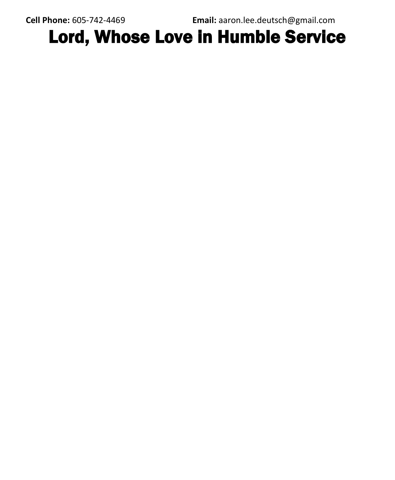**Cell Phone:** 605-742-4469 **Email:** [aaron.lee.deutsch@gmail.com](mailto:aaron.lee.deutsch@gmail.com)

## Lord, Whose Love in Humble Service